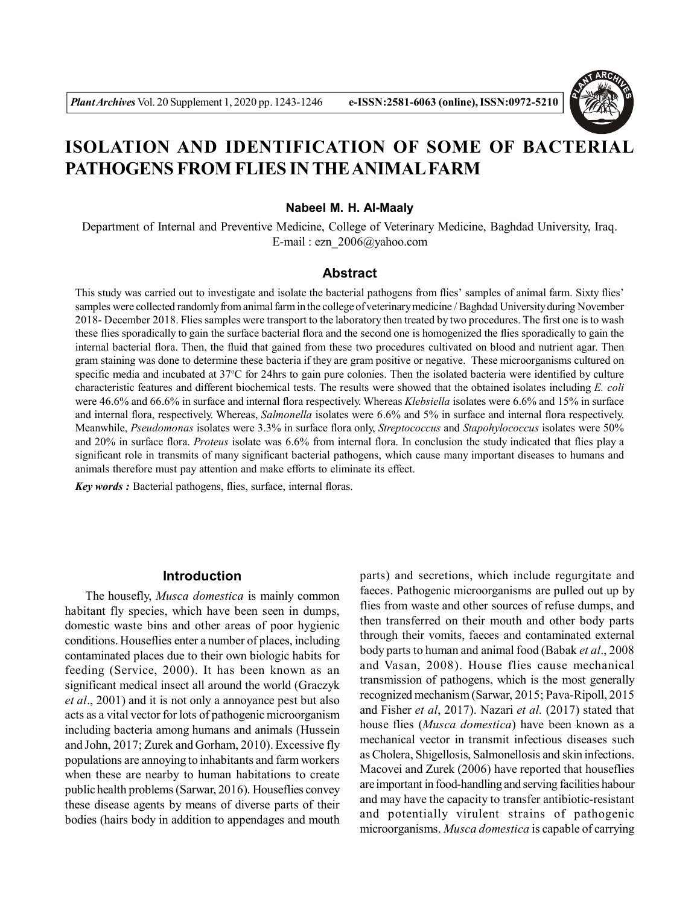

# **ISOLATION AND IDENTIFICATION OF SOME OF BACTERIAL PATHOGENS FROM FLIES IN THE ANIMAL FARM**

#### **Nabeel M. H. Al-Maaly**

Department of Internal and Preventive Medicine, College of Veterinary Medicine, Baghdad University, Iraq. E-mail : ezn\_2006@yahoo.com

### **Abstract**

This study was carried out to investigate and isolate the bacterial pathogens from flies' samples of animal farm. Sixty flies' samples were collected randomly from animal farm in the college of veterinary medicine / Baghdad University during November 2018- December 2018. Flies samples were transport to the laboratory then treated by two procedures. The first one is to wash these flies sporadically to gain the surface bacterial flora and the second one is homogenized the flies sporadically to gain the internal bacterial flora. Then, the fluid that gained from these two procedures cultivated on blood and nutrient agar. Then gram staining was done to determine these bacteria if they are gram positive or negative. These microorganisms cultured on specific media and incubated at 37°C for 24hrs to gain pure colonies. Then the isolated bacteria were identified by culture characteristic features and different biochemical tests. The results were showed that the obtained isolates including *E. coli* were 46.6% and 66.6% in surface and internal flora respectively. Whereas *Klebsiella* isolates were 6.6% and 15% in surface and internal flora, respectively. Whereas, *Salmonella* isolates were 6.6% and 5% in surface and internal flora respectively. Meanwhile, *Pseudomonas* isolates were 3.3% in surface flora only, *Streptococcus* and *Stapohylococcus* isolates were 50% and 20% in surface flora. *Proteus* isolate was 6.6% from internal flora. In conclusion the study indicated that flies play a significant role in transmits of many significant bacterial pathogens, which cause many important diseases to humans and animals therefore must pay attention and make efforts to eliminate its effect.

*Key words :* Bacterial pathogens, flies, surface, internal floras.

# **Introduction**

The housefly, *Musca domestica* is mainly common habitant fly species, which have been seen in dumps, domestic waste bins and other areas of poor hygienic conditions. Houseflies enter a number of places, including contaminated places due to their own biologic habits for feeding (Service, 2000). It has been known as an significant medical insect all around the world (Graczyk *et al*., 2001) and it is not only a annoyance pest but also acts as a vital vector for lots of pathogenic microorganism including bacteria among humans and animals (Hussein and John, 2017; Zurek and Gorham, 2010). Excessive fly populations are annoying to inhabitants and farm workers when these are nearby to human habitations to create public health problems (Sarwar, 2016). Houseflies convey these disease agents by means of diverse parts of their bodies (hairs body in addition to appendages and mouth parts) and secretions, which include regurgitate and faeces. Pathogenic microorganisms are pulled out up by flies from waste and other sources of refuse dumps, and then transferred on their mouth and other body parts through their vomits, faeces and contaminated external body parts to human and animal food (Babak *et al*., 2008 and Vasan, 2008). House flies cause mechanical transmission of pathogens, which is the most generally recognized mechanism (Sarwar, 2015; Pava-Ripoll, 2015 and Fisher *et al*, 2017). Nazari *et al.* (2017) stated that house flies (*Musca domestica*) have been known as a mechanical vector in transmit infectious diseases such as Cholera, Shigellosis, Salmonellosis and skin infections. Macovei and Zurek (2006) have reported that houseflies are important in food-handling and serving facilities habour and may have the capacity to transfer antibiotic-resistant and potentially virulent strains of pathogenic microorganisms. *Musca domestica* is capable of carrying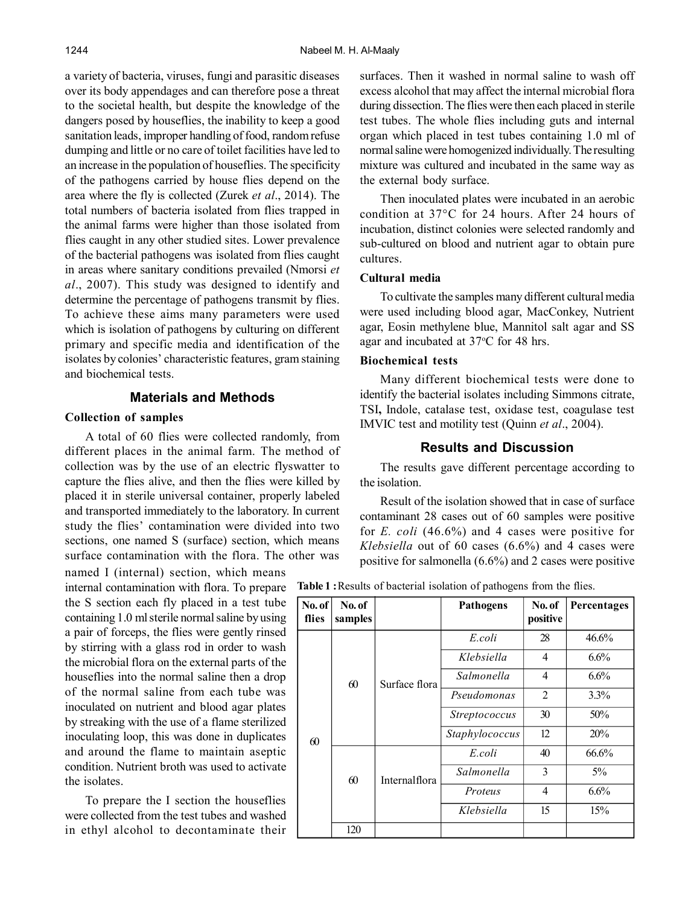a variety of bacteria, viruses, fungi and parasitic diseases over its body appendages and can therefore pose a threat to the societal health, but despite the knowledge of the dangers posed by houseflies, the inability to keep a good sanitation leads, improper handling of food, random refuse dumping and little or no care of toilet facilities have led to an increase in the population of houseflies. The specificity of the pathogens carried by house flies depend on the area where the fly is collected (Zurek *et al*., 2014). The total numbers of bacteria isolated from flies trapped in the animal farms were higher than those isolated from flies caught in any other studied sites. Lower prevalence of the bacterial pathogens was isolated from flies caught in areas where sanitary conditions prevailed (Nmorsi *et al*., 2007). This study was designed to identify and determine the percentage of pathogens transmit by flies. To achieve these aims many parameters were used which is isolation of pathogens by culturing on different primary and specific media and identification of the isolates by colonies' characteristic features, gram staining and biochemical tests.

# **Materials and Methods**

### **Collection of samples**

A total of 60 flies were collected randomly, from different places in the animal farm. The method of collection was by the use of an electric flyswatter to capture the flies alive, and then the flies were killed by placed it in sterile universal container, properly labeled and transported immediately to the laboratory. In current study the flies' contamination were divided into two sections, one named S (surface) section, which means surface contamination with the flora. The other was

named I (internal) section, which means internal contamination with flora. To prepare the S section each fly placed in a test tube containing 1.0 ml sterile normal saline by using a pair of forceps, the flies were gently rinsed by stirring with a glass rod in order to wash the microbial flora on the external parts of the houseflies into the normal saline then a drop of the normal saline from each tube was inoculated on nutrient and blood agar plates by streaking with the use of a flame sterilized inoculating loop, this was done in duplicates and around the flame to maintain aseptic condition. Nutrient broth was used to activate the isolates.

To prepare the I section the houseflies were collected from the test tubes and washed in ethyl alcohol to decontaminate their surfaces. Then it washed in normal saline to wash off excess alcohol that may affect the internal microbial flora during dissection. The flies were then each placed in sterile test tubes. The whole flies including guts and internal organ which placed in test tubes containing 1.0 ml of normal saline were homogenized individually. The resulting mixture was cultured and incubated in the same way as the external body surface.

Then inoculated plates were incubated in an aerobic condition at 37°C for 24 hours. After 24 hours of incubation, distinct colonies were selected randomly and sub-cultured on blood and nutrient agar to obtain pure cultures.

#### **Cultural media**

To cultivate the samples many different cultural media were used including blood agar, MacConkey, Nutrient agar, Eosin methylene blue, Mannitol salt agar and SS agar and incubated at 37 °C for 48 hrs.

#### **Biochemical tests**

Many different biochemical tests were done to identify the bacterial isolates including Simmons citrate, TSI**,** Indole, catalase test, oxidase test, coagulase test IMVIC test and motility test (Quinn *et al*., 2004).

# **Results and Discussion**

The results gave different percentage according to the isolation.

Result of the isolation showed that in case of surface contaminant 28 cases out of 60 samples were positive for *E. coli* (46.6%) and 4 cases were positive for *Klebsiella* out of 60 cases (6.6%) and 4 cases were positive for salmonella (6.6%) and 2 cases were positive

**Table 1 :**Results of bacterial isolation of pathogens from the flies.

| No. of<br>flies | No. of<br>samples |               | <b>Pathogens</b>     | No. of<br>positive | Percentages |
|-----------------|-------------------|---------------|----------------------|--------------------|-------------|
| 60              | 60                | Surface flora | E coli               | 28                 | 46.6%       |
|                 |                   |               | Klebsiella           | 4                  | 6.6%        |
|                 |                   |               | Salmonella           | $\overline{4}$     | 6.6%        |
|                 |                   |               | Pseudomonas          | 2                  | $3.3\%$     |
|                 |                   |               | <i>Streptococcus</i> | 30                 | 50%         |
|                 |                   |               | Staphylococcus       | 12                 | 20%         |
|                 | 60                | Internalflora | E coli               | 40                 | 66.6%       |
|                 |                   |               | Salmonella           | 3                  | $5\%$       |
|                 |                   |               | Proteus              | 4                  | 6.6%        |
|                 |                   |               | Klebsiella           | 15                 | 15%         |
|                 | 120               |               |                      |                    |             |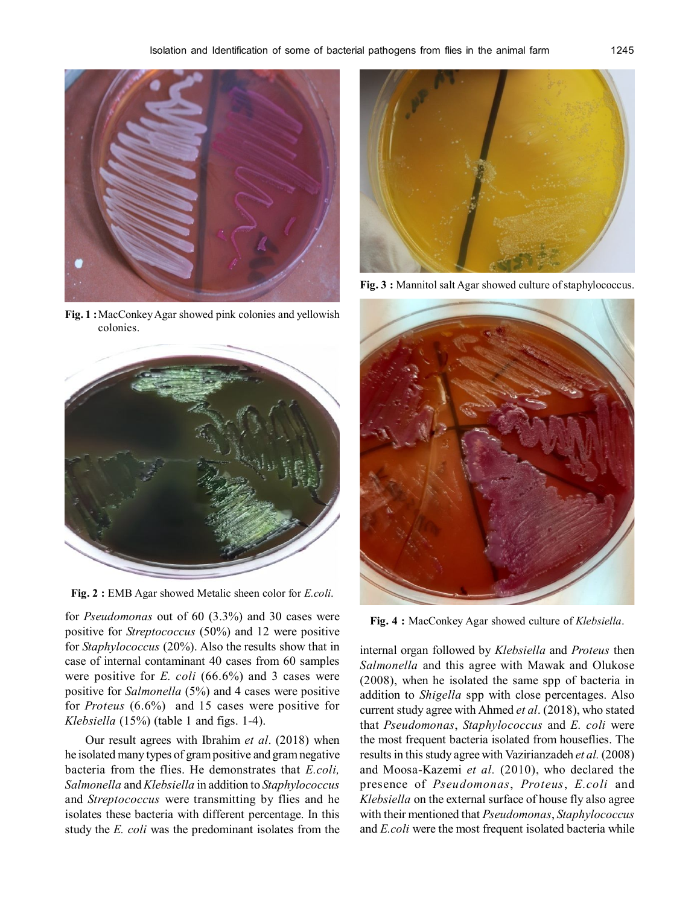

**Fig. 1 :**MacConkey Agar showed pink colonies and yellowish colonies.



**Fig. 2 :** EMB Agar showed Metalic sheen color for *E.coli*.

for *Pseudomonas* out of 60 (3.3%) and 30 cases were positive for *Streptococcus* (50%) and 12 were positive for *Staphylococcus* (20%). Also the results show that in case of internal contaminant 40 cases from 60 samples were positive for *E. coli* (66.6%) and 3 cases were positive for *Salmonella* (5%) and 4 cases were positive for *Proteus* (6.6%) and 15 cases were positive for *Klebsiella* (15%) (table 1 and figs. 1-4).

Our result agrees with Ibrahim *et al*. (2018) when he isolated many types of gram positive and gram negative bacteria from the flies. He demonstrates that *E.coli, Salmonella* and *Klebsiella* in addition to *Staphylococcus* and *Streptococcus* were transmitting by flies and he isolates these bacteria with different percentage. In this study the *E. coli* was the predominant isolates from the



**Fig. 3 :** Mannitol salt Agar showed culture of staphylococcus.



**Fig. 4 :** MacConkey Agar showed culture of *Klebsiella*.

internal organ followed by *Klebsiella* and *Proteus* then *Salmonella* and this agree with Mawak and Olukose (2008), when he isolated the same spp of bacteria in addition to *Shigella* spp with close percentages. Also current study agree with Ahmed *et al*. (2018), who stated that *Pseudomonas*, *Staphylococcus* and *E. coli* were the most frequent bacteria isolated from houseflies. The results in this study agree with Vazirianzadeh *et al.* (2008) and Moosa-Kazemi *et al.* (2010), who declared the presence of *Pseudomonas*, *Proteus*, *E.coli* and *Klebsiella* on the external surface of house fly also agree with their mentioned that *Pseudomonas*, *Staphylococcus* and *E.coli* were the most frequent isolated bacteria while